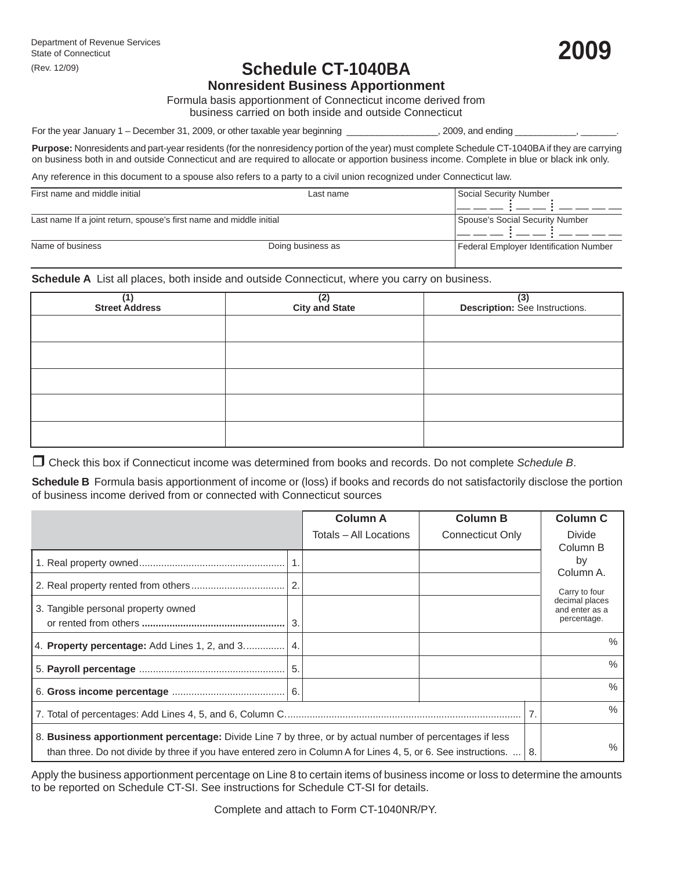# **Schedule CT-1040BA**

**Nonresident Business Apportionment**

Formula basis apportionment of Connecticut income derived from business carried on both inside and outside Connecticut

For the year January 1 – December 31, 2009, or other taxable year beginning \_\_\_\_\_\_\_\_\_\_\_\_\_\_\_\_, 2009, and ending

**Purpose:** Nonresidents and part-year residents (for the nonresidency portion of the year) must complete Schedule CT-1040BA if they are carrying on business both in and outside Connecticut and are required to allocate or apportion business income. Complete in blue or black ink only.

Any reference in this document to a spouse also refers to a party to a civil union recognized under Connecticut law.

| First name and middle initial                                       | Last name         | Social Security Number                 |
|---------------------------------------------------------------------|-------------------|----------------------------------------|
| Last name If a joint return, spouse's first name and middle initial |                   | Spouse's Social Security Number        |
| Name of business                                                    | Doing business as | Federal Employer Identification Number |

**Schedule A** List all places, both inside and outside Connecticut, where you carry on business.

| (1)<br>Street Address | (2)<br>City and State | (3)<br>Description: See Instructions. |  |  |  |
|-----------------------|-----------------------|---------------------------------------|--|--|--|
|                       |                       |                                       |  |  |  |
|                       |                       |                                       |  |  |  |
|                       |                       |                                       |  |  |  |
|                       |                       |                                       |  |  |  |
|                       |                       |                                       |  |  |  |

Check this box if Connecticut income was determined from books and records. Do not complete *Schedule B*.

**Schedule B** Formula basis apportionment of income or (loss) if books and records do not satisfactorily disclose the portion of business income derived from or connected with Connecticut sources

|                                                                                                                                                                                                                                   |   | <b>Column A</b>        | <b>Column B</b>         |  | <b>Column C</b>                                                               |  |
|-----------------------------------------------------------------------------------------------------------------------------------------------------------------------------------------------------------------------------------|---|------------------------|-------------------------|--|-------------------------------------------------------------------------------|--|
|                                                                                                                                                                                                                                   |   | Totals – All Locations | <b>Connecticut Only</b> |  | Divide<br>Column B                                                            |  |
|                                                                                                                                                                                                                                   |   |                        |                         |  | by                                                                            |  |
|                                                                                                                                                                                                                                   | 2 |                        |                         |  | Column A.<br>Carry to four<br>decimal places<br>and enter as a<br>percentage. |  |
| 3. Tangible personal property owned                                                                                                                                                                                               |   |                        |                         |  |                                                                               |  |
| 4. Property percentage: Add Lines 1, 2, and 3                                                                                                                                                                                     |   |                        |                         |  | $\%$                                                                          |  |
|                                                                                                                                                                                                                                   |   |                        |                         |  | $\%$                                                                          |  |
|                                                                                                                                                                                                                                   |   |                        |                         |  | $\%$                                                                          |  |
|                                                                                                                                                                                                                                   |   |                        |                         |  | $\%$                                                                          |  |
| 8. Business apportionment percentage: Divide Line 7 by three, or by actual number of percentages if less<br>than three. Do not divide by three if you have entered zero in Column A for Lines 4, 5, or 6. See instructions.<br>8. |   |                        |                         |  | $\%$                                                                          |  |

Apply the business apportionment percentage on Line 8 to certain items of business income or loss to determine the amounts to be reported on Schedule CT-SI. See instructions for Schedule CT-SI for details.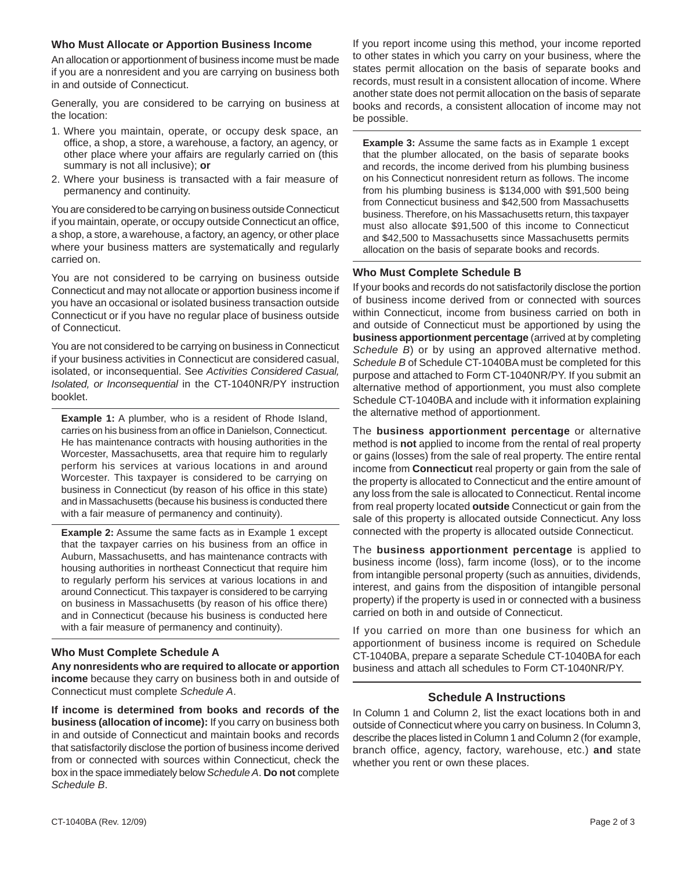#### **Who Must Allocate or Apportion Business Income**

An allocation or apportionment of business income must be made if you are a nonresident and you are carrying on business both in and outside of Connecticut.

Generally, you are considered to be carrying on business at the location:

- 1. Where you maintain, operate, or occupy desk space, an office, a shop, a store, a warehouse, a factory, an agency, or other place where your affairs are regularly carried on (this summary is not all inclusive); **or**
- 2. Where your business is transacted with a fair measure of permanency and continuity.

You are considered to be carrying on business outside Connecticut if you maintain, operate, or occupy outside Connecticut an office, a shop, a store, a warehouse, a factory, an agency, or other place where your business matters are systematically and regularly carried on.

You are not considered to be carrying on business outside Connecticut and may not allocate or apportion business income if you have an occasional or isolated business transaction outside Connecticut or if you have no regular place of business outside of Connecticut.

You are not considered to be carrying on business in Connecticut if your business activities in Connecticut are considered casual, isolated, or inconsequential. See *Activities Considered Casual, Isolated, or Inconsequential* in the CT-1040NR/PY instruction booklet.

**Example 1:** A plumber, who is a resident of Rhode Island, carries on his business from an office in Danielson, Connecticut. He has maintenance contracts with housing authorities in the Worcester, Massachusetts, area that require him to regularly perform his services at various locations in and around Worcester. This taxpayer is considered to be carrying on business in Connecticut (by reason of his office in this state) and in Massachusetts (because his business is conducted there with a fair measure of permanency and continuity).

**Example 2:** Assume the same facts as in Example 1 except that the taxpayer carries on his business from an office in Auburn, Massachusetts, and has maintenance contracts with housing authorities in northeast Connecticut that require him to regularly perform his services at various locations in and around Connecticut. This taxpayer is considered to be carrying on business in Massachusetts (by reason of his office there) and in Connecticut (because his business is conducted here with a fair measure of permanency and continuity).

# **Who Must Complete Schedule A**

**Any nonresidents who are required to allocate or apportion income** because they carry on business both in and outside of Connecticut must complete *Schedule A*.

**If income is determined from books and records of the business (allocation of income):** If you carry on business both in and outside of Connecticut and maintain books and records that satisfactorily disclose the portion of business income derived from or connected with sources within Connecticut, check the box in the space immediately below *Schedule A*. **Do not** complete *Schedule B*.

If you report income using this method, your income reported to other states in which you carry on your business, where the states permit allocation on the basis of separate books and records, must result in a consistent allocation of income. Where another state does not permit allocation on the basis of separate books and records, a consistent allocation of income may not be possible.

**Example 3:** Assume the same facts as in Example 1 except that the plumber allocated, on the basis of separate books and records, the income derived from his plumbing business on his Connecticut nonresident return as follows. The income from his plumbing business is \$134,000 with \$91,500 being from Connecticut business and \$42,500 from Massachusetts business. Therefore, on his Massachusetts return, this taxpayer must also allocate \$91,500 of this income to Connecticut and \$42,500 to Massachusetts since Massachusetts permits allocation on the basis of separate books and records.

# **Who Must Complete Schedule B**

If your books and records do not satisfactorily disclose the portion of business income derived from or connected with sources within Connecticut, income from business carried on both in and outside of Connecticut must be apportioned by using the **business apportionment percentage** (arrived at by completing *Schedule B*) or by using an approved alternative method. *Schedule B* of Schedule CT-1040BA must be completed for this purpose and attached to Form CT-1040NR/PY. If you submit an alternative method of apportionment, you must also complete Schedule CT-1040BA and include with it information explaining the alternative method of apportionment.

The **business apportionment percentage** or alternative method is **not** applied to income from the rental of real property or gains (losses) from the sale of real property. The entire rental income from **Connecticut** real property or gain from the sale of the property is allocated to Connecticut and the entire amount of any loss from the sale is allocated to Connecticut. Rental income from real property located **outside** Connecticut or gain from the sale of this property is allocated outside Connecticut. Any loss connected with the property is allocated outside Connecticut.

The **business apportionment percentage** is applied to business income (loss), farm income (loss), or to the income from intangible personal property (such as annuities, dividends, interest, and gains from the disposition of intangible personal property) if the property is used in or connected with a business carried on both in and outside of Connecticut.

If you carried on more than one business for which an apportionment of business income is required on Schedule CT-1040BA, prepare a separate Schedule CT-1040BA for each business and attach all schedules to Form CT-1040NR/PY.

## **Schedule A Instructions**

In Column 1 and Column 2, list the exact locations both in and outside of Connecticut where you carry on business. In Column 3, describe the places listed in Column 1 and Column 2 (for example, branch office, agency, factory, warehouse, etc.) **and** state whether you rent or own these places.